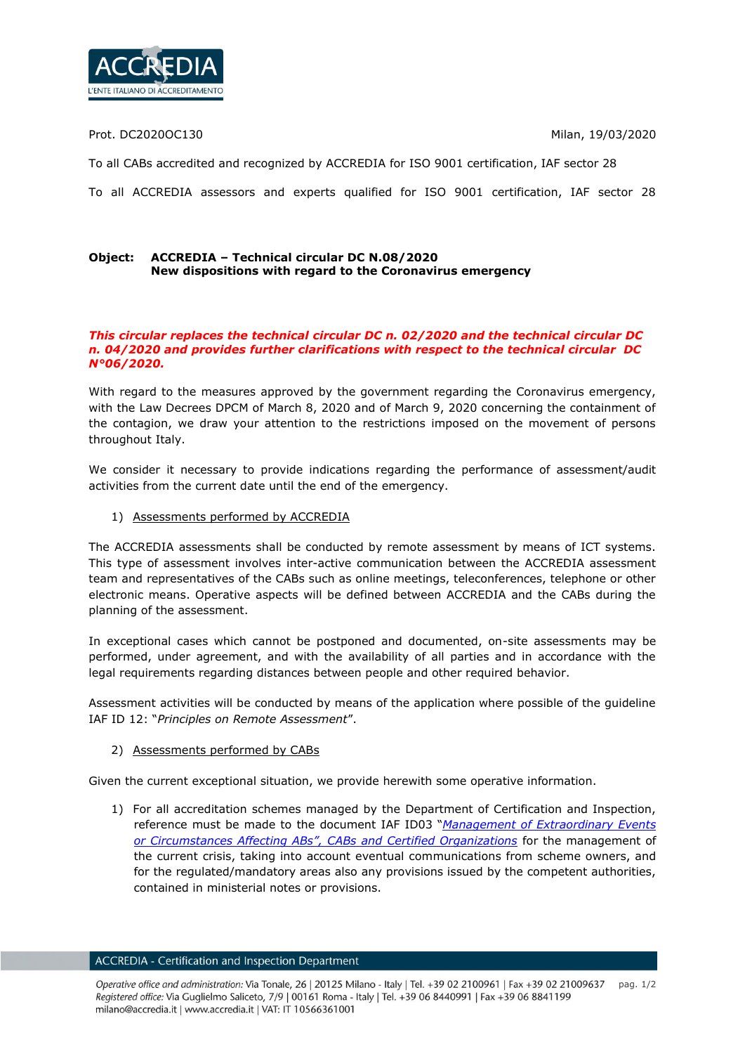

Prot. DC2020OC130 Milan, 19/03/2020

To all CABs accredited and recognized by ACCREDIA for ISO 9001 certification, IAF sector 28

To all ACCREDIA assessors and experts qualified for ISO 9001 certification, IAF sector 28

## **Object: ACCREDIA – Technical circular DC N.08/2020 New dispositions with regard to the Coronavirus emergency**

## *This circular replaces the technical circular DC n. 02/2020 and the technical circular DC n. 04/2020 and provides further clarifications with respect to the technical circular DC N°06/2020.*

With regard to the measures approved by the government regarding the Coronavirus emergency, with the Law Decrees DPCM of March 8, 2020 and of March 9, 2020 concerning the containment of the contagion, we draw your attention to the restrictions imposed on the movement of persons throughout Italy.

We consider it necessary to provide indications regarding the performance of assessment/audit activities from the current date until the end of the emergency.

1) Assessments performed by ACCREDIA

The ACCREDIA assessments shall be conducted by remote assessment by means of ICT systems. This type of assessment involves inter-active communication between the ACCREDIA assessment team and representatives of the CABs such as online meetings, teleconferences, telephone or other electronic means. Operative aspects will be defined between ACCREDIA and the CABs during the planning of the assessment.

In exceptional cases which cannot be postponed and documented, on-site assessments may be performed, under agreement, and with the availability of all parties and in accordance with the legal requirements regarding distances between people and other required behavior.

Assessment activities will be conducted by means of the application where possible of the guideline IAF ID 12: "*Principles on Remote Assessment*".

2) Assessments performed by CABs

Given the current exceptional situation, we provide herewith some operative information.

1) For all accreditation schemes managed by the Department of Certification and Inspection, reference must be made to the document IAF ID03 "*[Management of Extraordinary Events](https://www.iaf.nu/upFiles/IAFID32011_Management_of_Extraordinary_Events_or_Circumstances.pdf)  [or Circumstances Affecting ABs", CABs and Certified Organizations](https://www.iaf.nu/upFiles/IAFID32011_Management_of_Extraordinary_Events_or_Circumstances.pdf)* for the management of the current crisis, taking into account eventual communications from scheme owners, and for the regulated/mandatory areas also any provisions issued by the competent authorities, contained in ministerial notes or provisions.